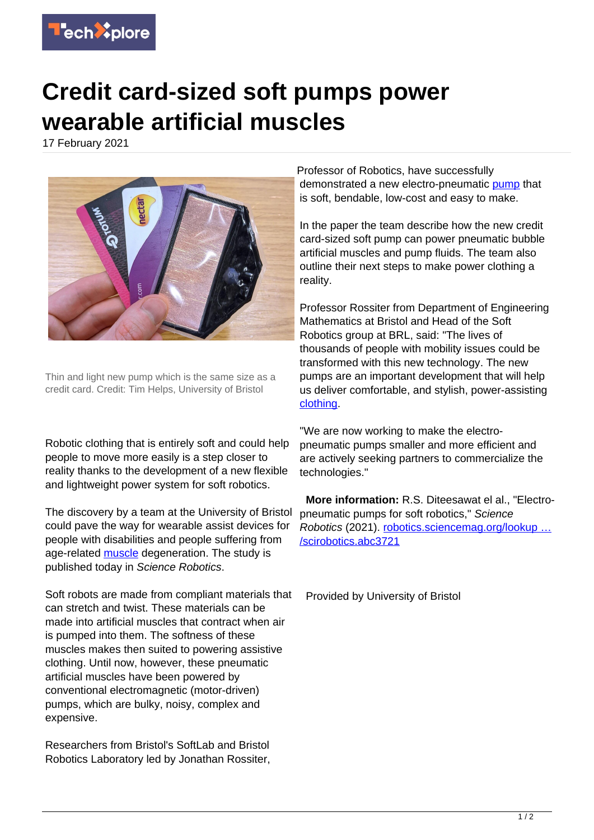

## **Credit card-sized soft pumps power wearable artificial muscles**

17 February 2021



Thin and light new pump which is the same size as a credit card. Credit: Tim Helps, University of Bristol

Robotic clothing that is entirely soft and could help people to move more easily is a step closer to reality thanks to the development of a new flexible and lightweight power system for soft robotics.

The discovery by a team at the University of Bristol could pave the way for wearable assist devices for people with disabilities and people suffering from age-related [muscle](https://techxplore.com/tags/muscle/) degeneration. The study is published today in Science Robotics.

Soft robots are made from compliant materials that can stretch and twist. These materials can be made into artificial muscles that contract when air is pumped into them. The softness of these muscles makes then suited to powering assistive clothing. Until now, however, these pneumatic artificial muscles have been powered by conventional electromagnetic (motor-driven) pumps, which are bulky, noisy, complex and expensive.

Researchers from Bristol's SoftLab and Bristol Robotics Laboratory led by Jonathan Rossiter, Professor of Robotics, have successfully demonstrated a new electro-pneumatic [pump](https://techxplore.com/tags/pump/) that is soft, bendable, low-cost and easy to make.

In the paper the team describe how the new credit card-sized soft pump can power pneumatic bubble artificial muscles and pump fluids. The team also outline their next steps to make power clothing a reality.

Professor Rossiter from Department of Engineering Mathematics at Bristol and Head of the Soft Robotics group at BRL, said: "The lives of thousands of people with mobility issues could be transformed with this new technology. The new pumps are an important development that will help us deliver comfortable, and stylish, power-assisting [clothing](https://techxplore.com/tags/clothing/).

"We are now working to make the electropneumatic pumps smaller and more efficient and are actively seeking partners to commercialize the technologies."

 **More information:** R.S. Diteesawat el al., "Electropneumatic pumps for soft robotics," Science Robotics (2021). [robotics.sciencemag.org/lookup …](http://robotics.sciencemag.org/lookup/doi/10.1126/scirobotics.abc3721) [/scirobotics.abc3721](http://robotics.sciencemag.org/lookup/doi/10.1126/scirobotics.abc3721)

Provided by University of Bristol